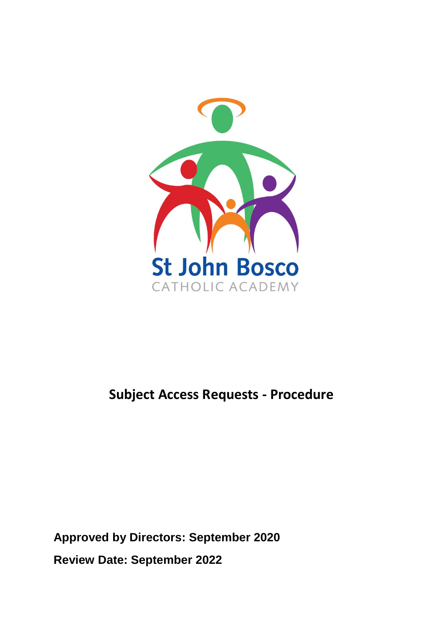

## **Subject Access Requests - Procedure**

**Approved by Directors: September 2020 Review Date: September 2022**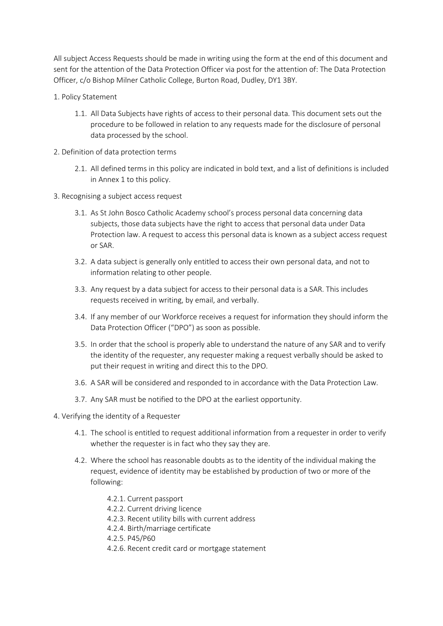All subject Access Requests should be made in writing using the form at the end of this document and sent for the attention of the Data Protection Officer via post for the attention of: The Data Protection Officer, c/o Bishop Milner Catholic College, Burton Road, Dudley, DY1 3BY.

- 1. Policy Statement
	- 1.1. All Data Subjects have rights of access to their personal data. This document sets out the procedure to be followed in relation to any requests made for the disclosure of personal data processed by the school.
- 2. Definition of data protection terms
	- 2.1. All defined terms in this policy are indicated in bold text, and a list of definitions is included in Annex 1 to this policy.
- 3. Recognising a subject access request
	- 3.1. As St John Bosco Catholic Academy school's process personal data concerning data subjects, those data subjects have the right to access that personal data under Data Protection law. A request to access this personal data is known as a subject access request or SAR.
	- 3.2. A data subject is generally only entitled to access their own personal data, and not to information relating to other people.
	- 3.3. Any request by a data subject for access to their personal data is a SAR. This includes requests received in writing, by email, and verbally.
	- 3.4. If any member of our Workforce receives a request for information they should inform the Data Protection Officer ("DPO") as soon as possible.
	- 3.5. In order that the school is properly able to understand the nature of any SAR and to verify the identity of the requester, any requester making a request verbally should be asked to put their request in writing and direct this to the DPO.
	- 3.6. A SAR will be considered and responded to in accordance with the Data Protection Law.
	- 3.7. Any SAR must be notified to the DPO at the earliest opportunity.
- 4. Verifying the identity of a Requester
	- 4.1. The school is entitled to request additional information from a requester in order to verify whether the requester is in fact who they say they are.
	- 4.2. Where the school has reasonable doubts as to the identity of the individual making the request, evidence of identity may be established by production of two or more of the following:
		- 4.2.1. Current passport
		- 4.2.2. Current driving licence
		- 4.2.3. Recent utility bills with current address
		- 4.2.4. Birth/marriage certificate
		- 4.2.5. P45/P60
		- 4.2.6. Recent credit card or mortgage statement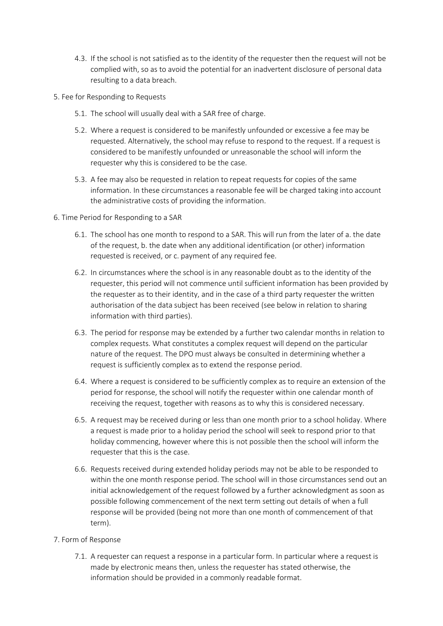- 4.3. If the school is not satisfied as to the identity of the requester then the request will not be complied with, so as to avoid the potential for an inadvertent disclosure of personal data resulting to a data breach.
- 5. Fee for Responding to Requests
	- 5.1. The school will usually deal with a SAR free of charge.
	- 5.2. Where a request is considered to be manifestly unfounded or excessive a fee may be requested. Alternatively, the school may refuse to respond to the request. If a request is considered to be manifestly unfounded or unreasonable the school will inform the requester why this is considered to be the case.
	- 5.3. A fee may also be requested in relation to repeat requests for copies of the same information. In these circumstances a reasonable fee will be charged taking into account the administrative costs of providing the information.
- 6. Time Period for Responding to a SAR
	- 6.1. The school has one month to respond to a SAR. This will run from the later of a. the date of the request, b. the date when any additional identification (or other) information requested is received, or c. payment of any required fee.
	- 6.2. In circumstances where the school is in any reasonable doubt as to the identity of the requester, this period will not commence until sufficient information has been provided by the requester as to their identity, and in the case of a third party requester the written authorisation of the data subject has been received (see below in relation to sharing information with third parties).
	- 6.3. The period for response may be extended by a further two calendar months in relation to complex requests. What constitutes a complex request will depend on the particular nature of the request. The DPO must always be consulted in determining whether a request is sufficiently complex as to extend the response period.
	- 6.4. Where a request is considered to be sufficiently complex as to require an extension of the period for response, the school will notify the requester within one calendar month of receiving the request, together with reasons as to why this is considered necessary.
	- 6.5. A request may be received during or less than one month prior to a school holiday. Where a request is made prior to a holiday period the school will seek to respond prior to that holiday commencing, however where this is not possible then the school will inform the requester that this is the case.
	- 6.6. Requests received during extended holiday periods may not be able to be responded to within the one month response period. The school will in those circumstances send out an initial acknowledgement of the request followed by a further acknowledgment as soon as possible following commencement of the next term setting out details of when a full response will be provided (being not more than one month of commencement of that term).
- 7. Form of Response
	- 7.1. A requester can request a response in a particular form. In particular where a request is made by electronic means then, unless the requester has stated otherwise, the information should be provided in a commonly readable format.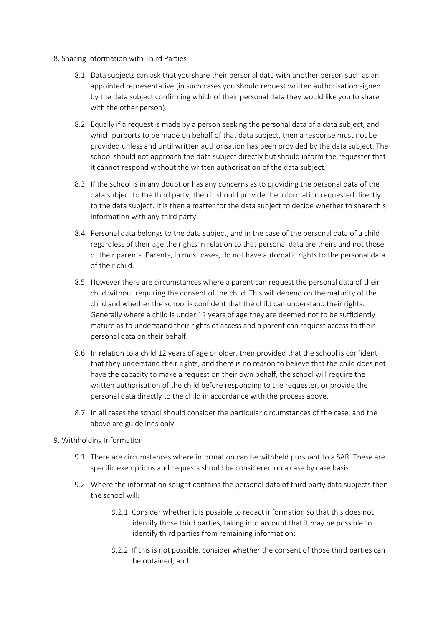- 8. Sharing Information with Third Parties
	- 8.1. Data subjects can ask that you share their personal data with another person such as an appointed representative (in such cases you should request written authorisation signed by the data subject confirming which of their personal data they would like you to share with the other person).
	- 8.2. Equally if a request is made by a person seeking the personal data of a data subject, and which purports to be made on behalf of that data subject, then a response must not be provided unless and until written authorisation has been provided by the data subject. The school should not approach the data subject directly but should inform the requester that it cannot respond without the written authorisation of the data subject.
	- 8.3. If the school is in any doubt or has any concerns as to providing the personal data of the data subject to the third party, then it should provide the information requested directly to the data subject. It is then a matter for the data subject to decide whether to share this information with any third party.
	- 8.4. Personal data belongs to the data subject, and in the case of the personal data of a child regardless of their age the rights in relation to that personal data are theirs and not those of their parents. Parents, in most cases, do not have automatic rights to the personal data of their child.
	- 8.5. However there are circumstances where a parent can request the personal data of their child without requiring the consent of the child. This will depend on the maturity of the child and whether the school is confident that the child can understand their rights. Generally where a child is under 12 years of age they are deemed not to be sufficiently mature as to understand their rights of access and a parent can request access to their personal data on their behalf.
	- 8.6. In relation to a child 12 years of age or older, then provided that the school is confident that they understand their rights, and there is no reason to believe that the child does not have the capacity to make a request on their own behalf, the school will require the written authorisation of the child before responding to the requester, or provide the personal data directly to the child in accordance with the process above.
	- 8.7. In all cases the school should consider the particular circumstances of the case, and the above are guidelines only.
- 9. Withholding Information
	- 9.1. There are circumstances where information can be withheld pursuant to a SAR. These are specific exemptions and requests should be considered on a case by case basis.
	- 9.2. Where the information sought contains the personal data of third party data subjects then the school will:
		- 9.2.1. Consider whether it is possible to redact information so that this does not identify those third parties, taking into account that it may be possible to identify third parties from remaining information;
		- 9.2.2. If this is not possible, consider whether the consent of those third parties can be obtained; and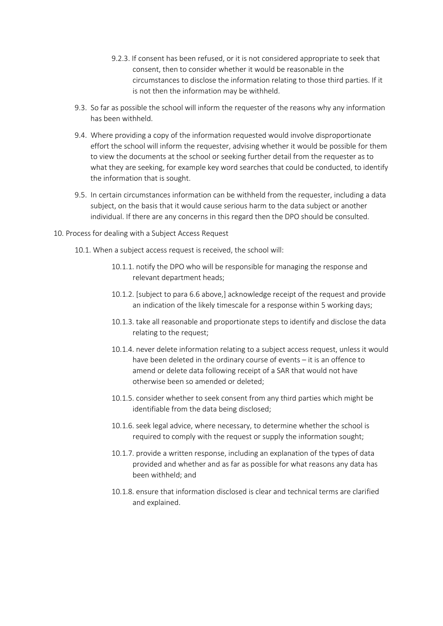- 9.2.3. If consent has been refused, or it is not considered appropriate to seek that consent, then to consider whether it would be reasonable in the circumstances to disclose the information relating to those third parties. If it is not then the information may be withheld.
- 9.3. So far as possible the school will inform the requester of the reasons why any information has been withheld.
- 9.4. Where providing a copy of the information requested would involve disproportionate effort the school will inform the requester, advising whether it would be possible for them to view the documents at the school or seeking further detail from the requester as to what they are seeking, for example key word searches that could be conducted, to identify the information that is sought.
- 9.5. In certain circumstances information can be withheld from the requester, including a data subject, on the basis that it would cause serious harm to the data subject or another individual. If there are any concerns in this regard then the DPO should be consulted.
- 10. Process for dealing with a Subject Access Request
	- 10.1. When a subject access request is received, the school will:
		- 10.1.1. notify the DPO who will be responsible for managing the response and relevant department heads;
		- 10.1.2. [subject to para 6.6 above,] acknowledge receipt of the request and provide an indication of the likely timescale for a response within 5 working days;
		- 10.1.3. take all reasonable and proportionate steps to identify and disclose the data relating to the request;
		- 10.1.4. never delete information relating to a subject access request, unless it would have been deleted in the ordinary course of events – it is an offence to amend or delete data following receipt of a SAR that would not have otherwise been so amended or deleted;
		- 10.1.5. consider whether to seek consent from any third parties which might be identifiable from the data being disclosed;
		- 10.1.6. seek legal advice, where necessary, to determine whether the school is required to comply with the request or supply the information sought;
		- 10.1.7. provide a written response, including an explanation of the types of data provided and whether and as far as possible for what reasons any data has been withheld; and
		- 10.1.8. ensure that information disclosed is clear and technical terms are clarified and explained.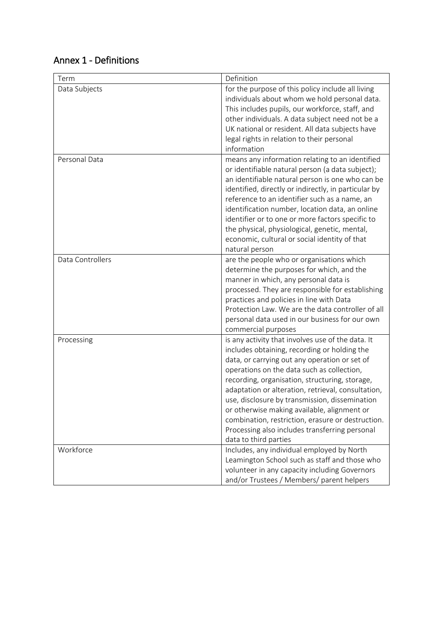| Term             | Definition                                                                                                                                                                                                                                                                                                                                                                                                                                                                                                                                |
|------------------|-------------------------------------------------------------------------------------------------------------------------------------------------------------------------------------------------------------------------------------------------------------------------------------------------------------------------------------------------------------------------------------------------------------------------------------------------------------------------------------------------------------------------------------------|
| Data Subjects    | for the purpose of this policy include all living<br>individuals about whom we hold personal data.<br>This includes pupils, our workforce, staff, and<br>other individuals. A data subject need not be a<br>UK national or resident. All data subjects have<br>legal rights in relation to their personal<br>information                                                                                                                                                                                                                  |
| Personal Data    | means any information relating to an identified<br>or identifiable natural person (a data subject);<br>an identifiable natural person is one who can be<br>identified, directly or indirectly, in particular by<br>reference to an identifier such as a name, an<br>identification number, location data, an online<br>identifier or to one or more factors specific to<br>the physical, physiological, genetic, mental,<br>economic, cultural or social identity of that<br>natural person                                               |
| Data Controllers | are the people who or organisations which<br>determine the purposes for which, and the<br>manner in which, any personal data is<br>processed. They are responsible for establishing<br>practices and policies in line with Data<br>Protection Law. We are the data controller of all<br>personal data used in our business for our own<br>commercial purposes                                                                                                                                                                             |
| Processing       | is any activity that involves use of the data. It<br>includes obtaining, recording or holding the<br>data, or carrying out any operation or set of<br>operations on the data such as collection,<br>recording, organisation, structuring, storage,<br>adaptation or alteration, retrieval, consultation,<br>use, disclosure by transmission, dissemination<br>or otherwise making available, alignment or<br>combination, restriction, erasure or destruction.<br>Processing also includes transferring personal<br>data to third parties |
| Workforce        | Includes, any individual employed by North<br>Leamington School such as staff and those who<br>volunteer in any capacity including Governors<br>and/or Trustees / Members/ parent helpers                                                                                                                                                                                                                                                                                                                                                 |

## Annex 1 - Definitions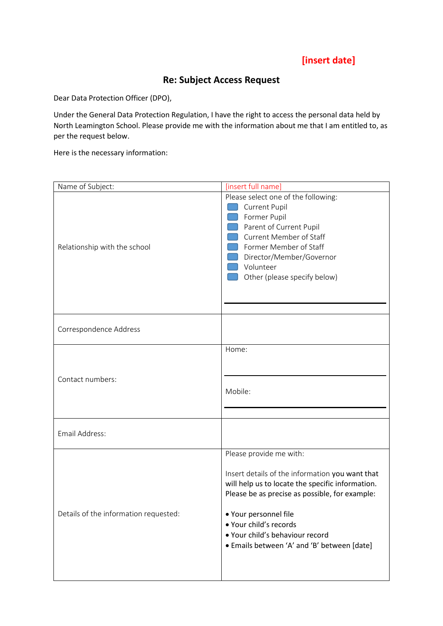## **[insert date]**

## **Re: Subject Access Request**

Dear Data Protection Officer (DPO),

Under the General Data Protection Regulation, I have the right to access the personal data held by North Leamington School. Please provide me with the information about me that I am entitled to, as per the request below.

Here is the necessary information:

| Name of Subject:                      | [insert full name]                                                                                                                                                                                                                                                                                                    |
|---------------------------------------|-----------------------------------------------------------------------------------------------------------------------------------------------------------------------------------------------------------------------------------------------------------------------------------------------------------------------|
| Relationship with the school          | Please select one of the following:<br><b>Current Pupil</b><br>Former Pupil<br>Parent of Current Pupil<br><b>Current Member of Staff</b><br>Former Member of Staff<br>Director/Member/Governor<br>Volunteer<br>Other (please specify below)                                                                           |
| Correspondence Address                |                                                                                                                                                                                                                                                                                                                       |
| Contact numbers:                      | Home:<br>Mobile:                                                                                                                                                                                                                                                                                                      |
| Email Address:                        |                                                                                                                                                                                                                                                                                                                       |
| Details of the information requested: | Please provide me with:<br>Insert details of the information you want that<br>will help us to locate the specific information.<br>Please be as precise as possible, for example:<br>▶ Your personnel file<br>· Your child's records<br>· Your child's behaviour record<br>• Emails between 'A' and 'B' between [date] |